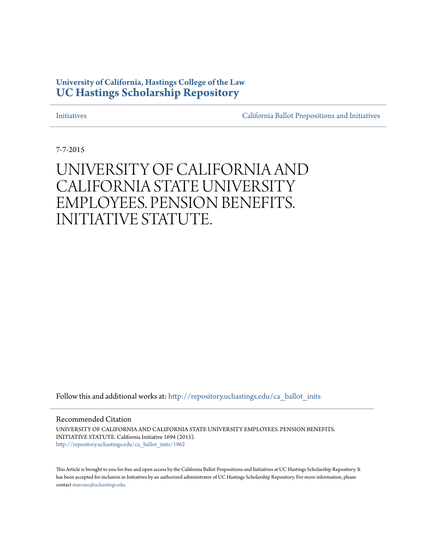# **University of California, Hastings College of the Law [UC Hastings Scholarship Repository](http://repository.uchastings.edu?utm_source=repository.uchastings.edu%2Fca_ballot_inits%2F1962&utm_medium=PDF&utm_campaign=PDFCoverPages)**

[Initiatives](http://repository.uchastings.edu/ca_ballot_inits?utm_source=repository.uchastings.edu%2Fca_ballot_inits%2F1962&utm_medium=PDF&utm_campaign=PDFCoverPages) [California Ballot Propositions and Initiatives](http://repository.uchastings.edu/ca_ballots?utm_source=repository.uchastings.edu%2Fca_ballot_inits%2F1962&utm_medium=PDF&utm_campaign=PDFCoverPages)

7-7-2015

# UNIVERSITY OF CALIFORNIA AND CALIFORNIA STATE UNIVERSITY EMPLOYEES. PENSION BENEFITS. INITIATIVE STATUTE.

Follow this and additional works at: [http://repository.uchastings.edu/ca\\_ballot\\_inits](http://repository.uchastings.edu/ca_ballot_inits?utm_source=repository.uchastings.edu%2Fca_ballot_inits%2F1962&utm_medium=PDF&utm_campaign=PDFCoverPages)

Recommended Citation

UNIVERSITY OF CALIFORNIA AND CALIFORNIA STATE UNIVERSITY EMPLOYEES. PENSION BENEFITS. INITIATIVE STATUTE. California Initiative 1694 (2015). [http://repository.uchastings.edu/ca\\_ballot\\_inits/1962](http://repository.uchastings.edu/ca_ballot_inits/1962?utm_source=repository.uchastings.edu%2Fca_ballot_inits%2F1962&utm_medium=PDF&utm_campaign=PDFCoverPages)

This Article is brought to you for free and open access by the California Ballot Propositions and Initiatives at UC Hastings Scholarship Repository. It has been accepted for inclusion in Initiatives by an authorized administrator of UC Hastings Scholarship Repository. For more information, please contact [marcusc@uchastings.edu](mailto:marcusc@uchastings.edu).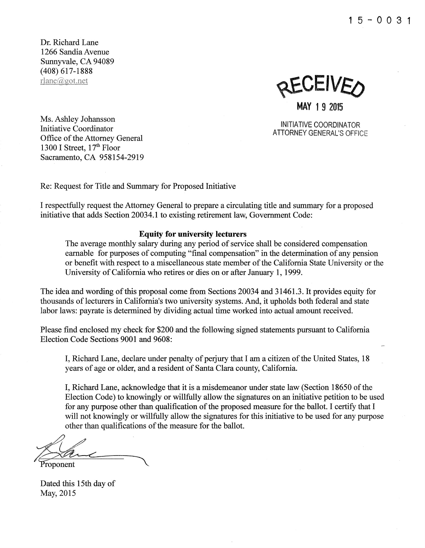**1** 5 - 0 0 3 **1** 

Dr. Richard Lane 1266 Sandia Avenue Sunnyvale, CA 94089 (408) 617-1888 rlane@got.net

**AEAFIAEO MAY 1 9 2015** 

INITIATIVE COORDINATOR ATTORNEY GENERAL'S OFFICE

Ms. Ashley Johansson Initiative Coordinator Office of the Attorney General 1300 I Street,  $17<sup>th</sup>$  Floor Sacramento, CA 958154-2919

Re: Request for Title and Summary for Proposed Initiative

I respectfully request the Attorney General to prepare a circulating title and summary for a proposed initiative that adds Section 20034.1 to existing retirement law, Government Code:

### **Equity for university lecturers**

The average monthly salary during any period of service shall be considered compensation earnable for purposes of computing "final compensation" in the determination of any pension or benefit with respect to a miscellaneous state member of the California State University or the University of California who retires or dies on or after January 1, 1999.

The idea and wording of this proposal come from Sections 20034 and 31461.3. It provides equity for thousands oflecturers in California's two university systems. And, it upholds both federal and state labor laws: payrate is determined by dividing actual time worked into actual amount received.

Please find enclosed my check for \$200 and the following signed statements pursuant to California Election Code Sections 9001 and 9608:

I, Richard Lane, declare under penalty of perjury that I am a citizen of the United States, 18 years of age or older, and a resident of Santa Clara county, California.

I, Richard Lane, acknowledge that it is a misdemeanor under state law (Section 18650 of the Election Code) to knowingly or willfully allow the signatures on an initiative petition to be used for any purpose other than qualification of the proposed measure for the ballot. I certify that I will not knowingly or willfully allow the signatures for this initiative to be used for any purpose other than qualifications of the measure for the ballot.

will not know<br>other than of<br>*Allen* 

Proponent

Dated this 15th day of May, 2015